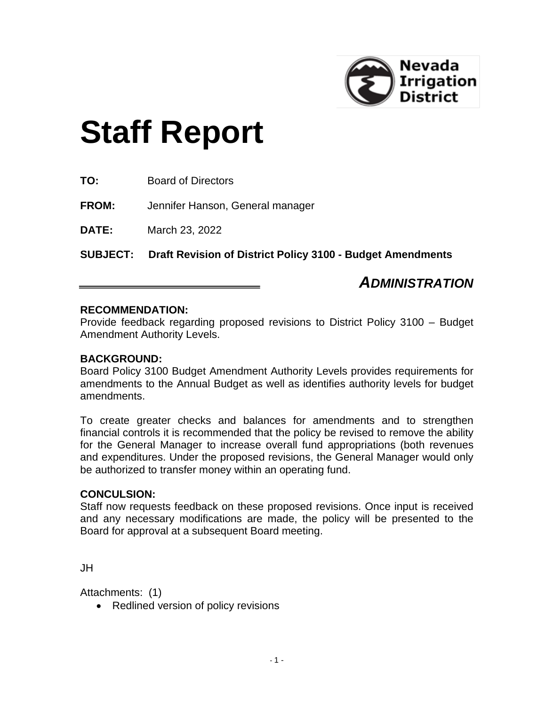

# **Staff Report**

**TO:** Board of Directors

**FROM:** Jennifer Hanson, General manager

**DATE:** March 23, 2022

**SUBJECT: Draft Revision of District Policy 3100 - Budget Amendments**

## *ADMINISTRATION*

### **RECOMMENDATION:**

Provide feedback regarding proposed revisions to District Policy 3100 – Budget Amendment Authority Levels.

### **BACKGROUND:**

Board Policy 3100 Budget Amendment Authority Levels provides requirements for amendments to the Annual Budget as well as identifies authority levels for budget amendments.

To create greater checks and balances for amendments and to strengthen financial controls it is recommended that the policy be revised to remove the ability for the General Manager to increase overall fund appropriations (both revenues and expenditures. Under the proposed revisions, the General Manager would only be authorized to transfer money within an operating fund.

### **CONCULSION:**

Staff now requests feedback on these proposed revisions. Once input is received and any necessary modifications are made, the policy will be presented to the Board for approval at a subsequent Board meeting.

JH

Attachments: (1)

• Redlined version of policy revisions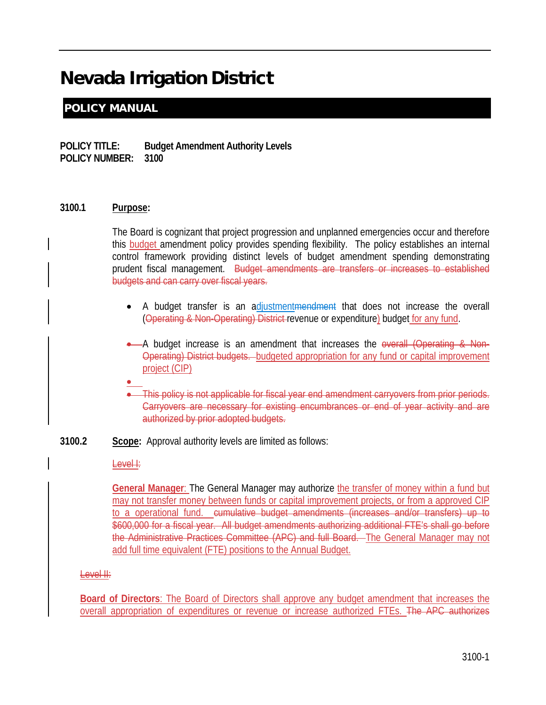# Nevada Irrigation District

### POLICY MANUAL

**POLICY TITLE: Budget Amendment Authority Levels POLICY NUMBER: 3100**

### **3100.1 Purpose:**

The Board is cognizant that project progression and unplanned emergencies occur and therefore this **budget** amendment policy provides spending flexibility. The policy establishes an internal control framework providing distinct levels of budget amendment spending demonstrating prudent fiscal management. Budget amendments are transfers or increases to established budgets and can carry over fiscal years.

- A budget transfer is an adjustmentmendment that does not increase the overall (Operating & Non-Operating) District revenue or expenditure) budget for any fund.
- A budget increase is an amendment that increases the overall (Operating & Non-Operating) District budgets. budgeted appropriation for any fund or capital improvement project (CIP)
- •
- This policy is not applicable for fiscal year end amendment carryovers from prior periods. Carryovers are necessary for existing encumbrances or end of year activity and are authorized by prior adopted budgets.
- **3100.2 Scope:** Approval authority levels are limited as follows:

### Level I:

**General Manager**: The General Manager may authorize the transfer of money within a fund but may not transfer money between funds or capital improvement projects, or from a approved CIP to a operational fund. cumulative budget amendments (increases and/or transfers) up to \$600,000 for a fiscal year. All budget amendments authorizing additional FTE's shall go before the Administrative Practices Committee (APC) and full Board. The General Manager may not add full time equivalent (FTE) positions to the Annual Budget.

### Level II:

**Board of Directors**: The Board of Directors shall approve any budget amendment that increases the overall appropriation of expenditures or revenue or increase authorized FTEs. The APC authorizes